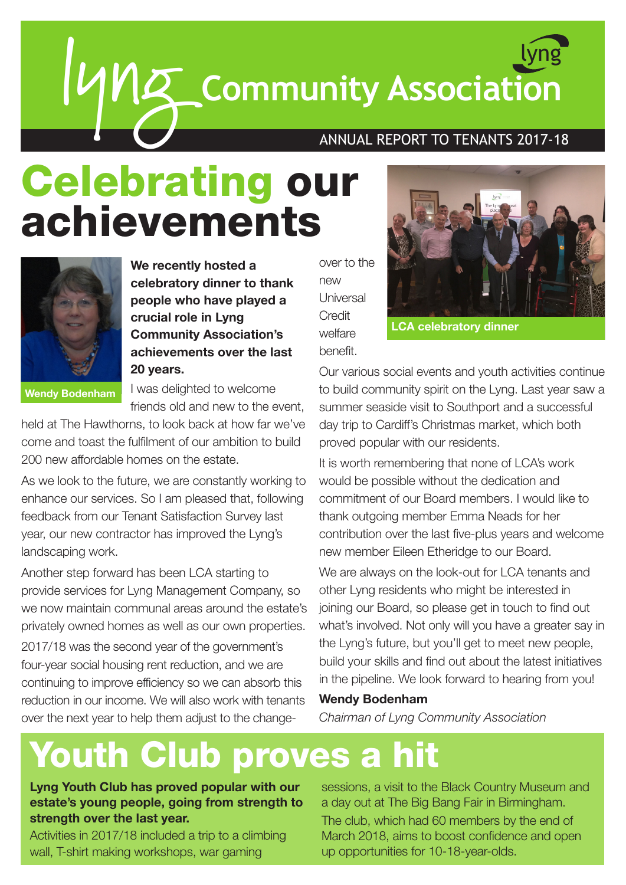# lyng **Community Association** lyng

## ANNUAL REPORT TO TENANTS 2017-18

## Celebrating our achievements



**We recently hosted a celebratory dinner to thank people who have played a crucial role in Lyng Community Association's achievements over the last 20 years.**

**Wendy Bodenham**

I was delighted to welcome friends old and new to the event,

held at The Hawthorns, to look back at how far we've come and toast the fulfilment of our ambition to build 200 new affordable homes on the estate.

As we look to the future, we are constantly working to enhance our services. So I am pleased that, following feedback from our Tenant Satisfaction Survey last year, our new contractor has improved the Lyng's landscaping work.

Another step forward has been LCA starting to provide services for Lyng Management Company, so we now maintain communal areas around the estate's privately owned homes as well as our own properties.

2017/18 was the second year of the government's four-year social housing rent reduction, and we are continuing to improve efficiency so we can absorb this reduction in our income. We will also work with tenants over the next year to help them adjust to the change-

over to the new Universal **Credit** welfare benefit.



**LCA celebratory dinner**

Our various social events and youth activities continue to build community spirit on the Lyng. Last year saw a summer seaside visit to Southport and a successful day trip to Cardiff's Christmas market, which both proved popular with our residents.

It is worth remembering that none of LCA's work would be possible without the dedication and commitment of our Board members. I would like to thank outgoing member Emma Neads for her contribution over the last five-plus years and welcome new member Eileen Etheridge to our Board.

We are always on the look-out for LCA tenants and other Lyng residents who might be interested in joining our Board, so please get in touch to find out what's involved. Not only will you have a greater say in the Lyng's future, but you'll get to meet new people, build your skills and find out about the latest initiatives in the pipeline. We look forward to hearing from you!

#### **Wendy Bodenham**

*Chairman of Lyng Community Association*

## Youth Club proves a hit

**Lyng Youth Club has proved popular with our estate's young people, going from strength to strength over the last year.**

Activities in 2017/18 included a trip to a climbing wall, T-shirt making workshops, war gaming

sessions, a visit to the Black Country Museum and a day out at The Big Bang Fair in Birmingham. The club, which had 60 members by the end of March 2018, aims to boost confidence and open up opportunities for 10-18-year-olds.